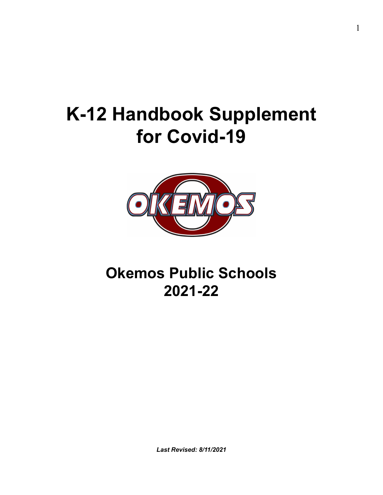# **K-12 Handbook Supplement for Covid-19**



## **Okemos Public Schools 2021-22**

*Last Revised: 8/11/2021*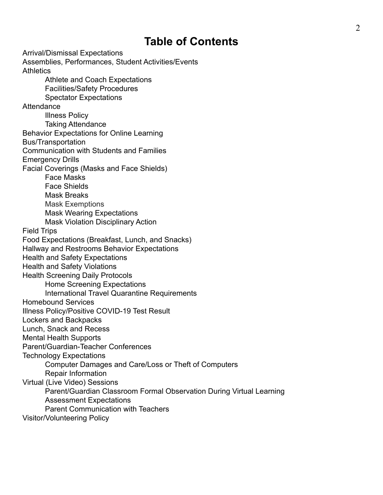## **Table of Contents**

Arrival/Dismissal Expectations Assemblies, Performances, Student Activities/Events **Athletics** Athlete and Coach Expectations Facilities/Safety Procedures Spectator Expectations **Attendance** Illness Policy Taking Attendance Behavior Expectations for Online Learning Bus/Transportation Communication with Students and Families Emergency Drills Facial Coverings (Masks and Face Shields) Face Masks Face Shields Mask Breaks Mask Exemptions Mask Wearing Expectations Mask Violation Disciplinary Action Field Trips Food Expectations (Breakfast, Lunch, and Snacks) Hallway and Restrooms Behavior Expectations Health and Safety Expectations Health and Safety Violations Health Screening Daily Protocols Home Screening Expectations International Travel Quarantine Requirements Homebound Services Illness Policy/Positive COVID-19 Test Result Lockers and Backpacks Lunch, Snack and Recess Mental Health Supports Parent/Guardian-Teacher Conferences Technology Expectations Computer Damages and Care/Loss or Theft of Computers Repair Information Virtual (Live Video) Sessions Parent/Guardian Classroom Formal Observation During Virtual Learning Assessment Expectations Parent Communication with Teachers Visitor/Volunteering Policy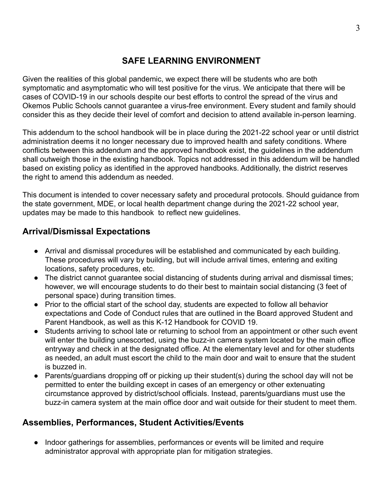## **SAFE LEARNING ENVIRONMENT**

Given the realities of this global pandemic, we expect there will be students who are both symptomatic and asymptomatic who will test positive for the virus. We anticipate that there will be cases of COVID-19 in our schools despite our best efforts to control the spread of the virus and Okemos Public Schools cannot guarantee a virus-free environment. Every student and family should consider this as they decide their level of comfort and decision to attend available in-person learning.

This addendum to the school handbook will be in place during the 2021-22 school year or until district administration deems it no longer necessary due to improved health and safety conditions. Where conflicts between this addendum and the approved handbook exist, the guidelines in the addendum shall outweigh those in the existing handbook. Topics not addressed in this addendum will be handled based on existing policy as identified in the approved handbooks. Additionally, the district reserves the right to amend this addendum as needed.

This document is intended to cover necessary safety and procedural protocols. Should guidance from the state government, MDE, or local health department change during the 2021-22 school year, updates may be made to this handbook to reflect new guidelines.

## **Arrival/Dismissal Expectations**

- Arrival and dismissal procedures will be established and communicated by each building. These procedures will vary by building, but will include arrival times, entering and exiting locations, safety procedures, etc.
- The district cannot guarantee social distancing of students during arrival and dismissal times; however, we will encourage students to do their best to maintain social distancing (3 feet of personal space) during transition times.
- Prior to the official start of the school day, students are expected to follow all behavior expectations and Code of Conduct rules that are outlined in the Board approved Student and Parent Handbook, as well as this K-12 Handbook for COVID 19.
- Students arriving to school late or returning to school from an appointment or other such event will enter the building unescorted, using the buzz-in camera system located by the main office entryway and check in at the designated office. At the elementary level and for other students as needed, an adult must escort the child to the main door and wait to ensure that the student is buzzed in.
- Parents/guardians dropping off or picking up their student(s) during the school day will not be permitted to enter the building except in cases of an emergency or other extenuating circumstance approved by district/school officials. Instead, parents/guardians must use the buzz-in camera system at the main office door and wait outside for their student to meet them.

## **Assemblies, Performances, Student Activities/Events**

● Indoor gatherings for assemblies, performances or events will be limited and require administrator approval with appropriate plan for mitigation strategies.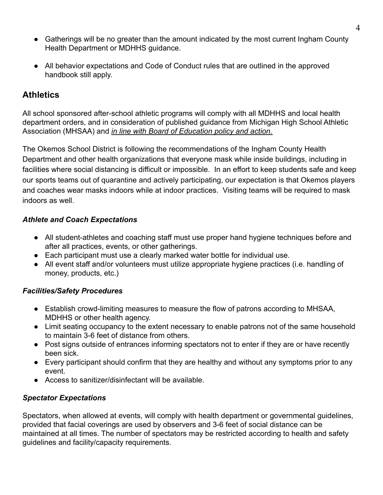- Gatherings will be no greater than the amount indicated by the most current Ingham County Health Department or MDHHS guidance.
- All behavior expectations and Code of Conduct rules that are outlined in the approved handbook still apply.

## **Athletics**

All school sponsored after-school athletic programs will comply with all MDHHS and local health department orders, and in consideration of published guidance from Michigan High School Athletic Association (MHSAA) and *in line with Board of Education policy and action.*

The Okemos School District is following the recommendations of the Ingham County Health Department and other health organizations that everyone mask while inside buildings, including in facilities where social distancing is difficult or impossible. In an effort to keep students safe and keep our sports teams out of quarantine and actively participating, our expectation is that Okemos players and coaches wear masks indoors while at indoor practices. Visiting teams will be required to mask indoors as well.

#### *Athlete and Coach Expectations*

- All student-athletes and coaching staff must use proper hand hygiene techniques before and after all practices, events, or other gatherings.
- Each participant must use a clearly marked water bottle for individual use.
- All event staff and/or volunteers must utilize appropriate hygiene practices (i.e. handling of money, products, etc.)

#### *Facilities/Safety Procedures*

- Establish crowd-limiting measures to measure the flow of patrons according to MHSAA, MDHHS or other health agency.
- Limit seating occupancy to the extent necessary to enable patrons not of the same household to maintain 3-6 feet of distance from others.
- Post signs outside of entrances informing spectators not to enter if they are or have recently been sick.
- Every participant should confirm that they are healthy and without any symptoms prior to any event.
- Access to sanitizer/disinfectant will be available

#### *Spectator Expectations*

Spectators, when allowed at events, will comply with health department or governmental guidelines, provided that facial coverings are used by observers and 3-6 feet of social distance can be maintained at all times. The number of spectators may be restricted according to health and safety guidelines and facility/capacity requirements.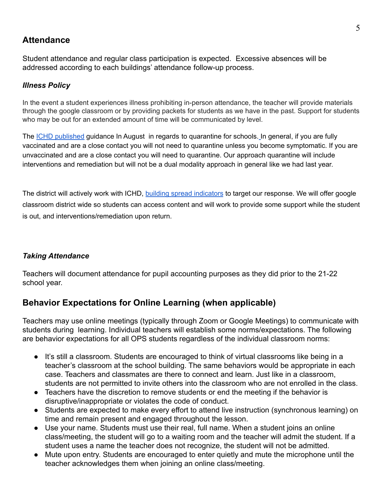## **Attendance**

Student attendance and regular class participation is expected. Excessive absences will be addressed according to each buildings' attendance follow-up process.

#### *Illness Policy*

In the event a student experiences illness prohibiting in-person attendance, the teacher will provide materials through the google classroom or by providing packets for students as we have in the past. Support for students who may be out for an extended amount of time will be communicated by level.

The **ICHD** [published](https://hd.ingham.org/Portals/HD/Home/Documents/cd/coronavirus/ICHDSchoolCOVIDHandouts.pdf) guidance In August in regards to quarantine for schools. In general, if you are fully vaccinated and are a close contact you will not need to quarantine unless you become symptomatic. If you are unvaccinated and are a close contact you will need to quarantine. Our approach quarantine will include interventions and remediation but will not be a dual modality approach in general like we had last year.

The district will actively work with ICHD, building spread [indicators](https://www.okemosk12.net/Page/9433) to target our response. We will offer google classroom district wide so students can access content and will work to provide some support while the student is out, and interventions/remediation upon return.

#### *Taking Attendance*

Teachers will document attendance for pupil accounting purposes as they did prior to the 21-22 school year.

## **Behavior Expectations for Online Learning (when applicable)**

Teachers may use online meetings (typically through Zoom or Google Meetings) to communicate with students during learning. Individual teachers will establish some norms/expectations. The following are behavior expectations for all OPS students regardless of the individual classroom norms:

- It's still a classroom. Students are encouraged to think of virtual classrooms like being in a teacher's classroom at the school building. The same behaviors would be appropriate in each case. Teachers and classmates are there to connect and learn. Just like in a classroom, students are not permitted to invite others into the classroom who are not enrolled in the class.
- Teachers have the discretion to remove students or end the meeting if the behavior is disruptive/inappropriate or violates the code of conduct.
- Students are expected to make every effort to attend live instruction (synchronous learning) on time and remain present and engaged throughout the lesson.
- Use your name. Students must use their real, full name. When a student joins an online class/meeting, the student will go to a waiting room and the teacher will admit the student. If a student uses a name the teacher does not recognize, the student will not be admitted.
- Mute upon entry. Students are encouraged to enter quietly and mute the microphone until the teacher acknowledges them when joining an online class/meeting.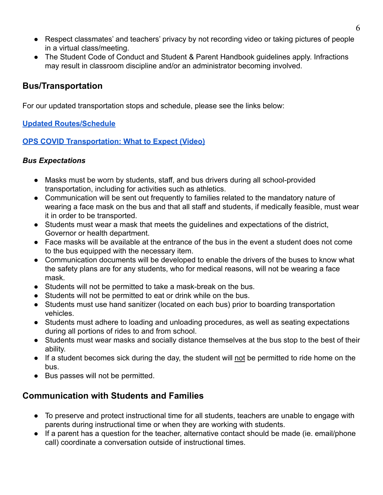- Respect classmates' and teachers' privacy by not recording video or taking pictures of people in a virtual class/meeting.
- The Student Code of Conduct and Student & Parent Handbook guidelines apply. Infractions may result in classroom discipline and/or an administrator becoming involved.

#### **Bus/Transportation**

For our updated transportation stops and schedule, please see the links below:

#### **[Updated Routes/Schedule](https://www.okemosk12.net/Page/535)**

#### **OPS [COVID Transportation: What to Expect \(Video\)](https://www.okemosk12.net/Page/535)**

#### *Bus Expectations*

- Masks must be worn by students, staff, and bus drivers during all school-provided transportation, including for activities such as athletics.
- Communication will be sent out frequently to families related to the mandatory nature of wearing a face mask on the bus and that all staff and students, if medically feasible, must wear it in order to be transported.
- Students must wear a mask that meets the guidelines and expectations of the district, Governor or health department.
- Face masks will be available at the entrance of the bus in the event a student does not come to the bus equipped with the necessary item.
- Communication documents will be developed to enable the drivers of the buses to know what the safety plans are for any students, who for medical reasons, will not be wearing a face mask.
- Students will not be permitted to take a mask-break on the bus.
- Students will not be permitted to eat or drink while on the bus.
- Students must use hand sanitizer (located on each bus) prior to boarding transportation vehicles.
- Students must adhere to loading and unloading procedures, as well as seating expectations during all portions of rides to and from school.
- Students must wear masks and socially distance themselves at the bus stop to the best of their ability.
- If a student becomes sick during the day, the student will not be permitted to ride home on the bus.
- Bus passes will not be permitted.

## **Communication with Students and Families**

- To preserve and protect instructional time for all students, teachers are unable to engage with parents during instructional time or when they are working with students.
- If a parent has a question for the teacher, alternative contact should be made (ie. email/phone call) coordinate a conversation outside of instructional times.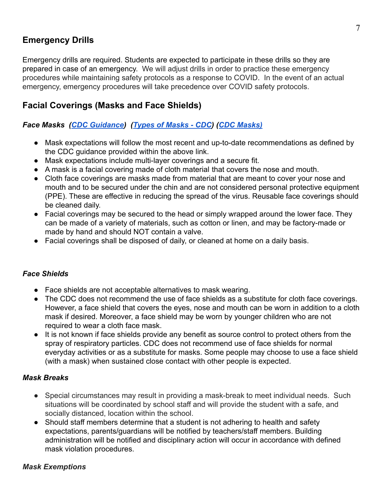## **Emergency Drills**

Emergency drills are required. Students are expected to participate in these drills so they are prepared in case of an emergency. We will adjust drills in order to practice these emergency procedures while maintaining safety protocols as a response to COVID. In the event of an actual emergency, emergency procedures will take precedence over COVID safety protocols.

## **Facial Coverings (Masks and Face Shields)**

#### *Face Masks ([CDC Guidance](https://www.cdc.gov/coronavirus/2019-ncov/prevent-getting-sick/about-face-coverings.html)) ([Types of Masks - CDC](https://www.cdc.gov/coronavirus/2019-ncov/prevent-getting-sick/types-of-masks.html)) ([CDC Masks\)](https://www.cdc.gov/coronavirus/2019-ncov/prevent-getting-sick/cloth-face-cover-guidance.html?CDC_AA_refVal=https%3A%2F%2Fwww.cdc.gov%2Fcoronavirus%2F2019-ncov%2Fcommunity%2Fschools-childcare%2Fcloth-face-cover.html)*

- Mask expectations will follow the most recent and up-to-date recommendations as defined by the CDC guidance provided within the above link.
- Mask expectations include multi-layer coverings and a secure fit.
- A mask is a facial covering made of cloth material that covers the nose and mouth.
- Cloth face coverings are masks made from material that are meant to cover your nose and mouth and to be secured under the chin and are not considered personal protective equipment (PPE). These are effective in reducing the spread of the virus. Reusable face coverings should be cleaned daily.
- Facial coverings may be secured to the head or simply wrapped around the lower face. They can be made of a variety of materials, such as cotton or linen, and may be factory-made or made by hand and should NOT contain a valve.
- Facial coverings shall be disposed of daily, or cleaned at home on a daily basis.

#### *Face Shields*

- Face shields are not acceptable alternatives to mask wearing.
- The CDC does not recommend the use of face shields as a substitute for cloth face coverings. However, a face shield that covers the eyes, nose and mouth can be worn in addition to a cloth mask if desired. Moreover, a face shield may be worn by younger children who are not required to wear a cloth face mask.
- It is not known if face shields provide any benefit as source control to protect others from the spray of respiratory particles. CDC does not recommend use of face shields for normal everyday activities or as a substitute for masks. Some people may choose to use a face shield (with a mask) when sustained close contact with other people is expected.

#### *Mask Breaks*

- Special circumstances may result in providing a mask-break to meet individual needs. Such situations will be coordinated by school staff and will provide the student with a safe, and socially distanced, location within the school.
- Should staff members determine that a student is not adhering to health and safety expectations, parents/guardians will be notified by teachers/staff members. Building administration will be notified and disciplinary action will occur in accordance with defined mask violation procedures.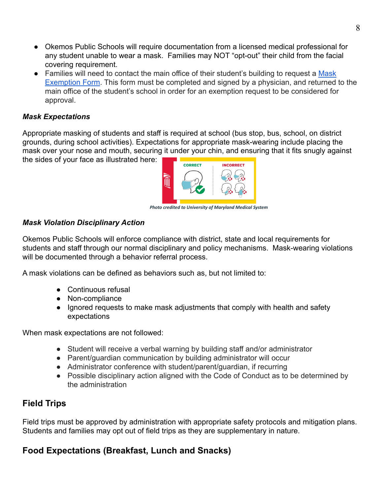- Okemos Public Schools will require documentation from a licensed medical professional for any student unable to wear a mask. Families may NOT "opt-out" their child from the facial covering requirement.
- Families will need to contact the main office of their student's building to request a [Mask](https://docs.google.com/document/d/1sPCLSsHqyMc6sRxJNAVNksGuFNMg8MFCHesxhfhMVRs/edit?usp=sharing) [Exemption Form](https://docs.google.com/document/d/1sPCLSsHqyMc6sRxJNAVNksGuFNMg8MFCHesxhfhMVRs/edit?usp=sharing). This form must be completed and signed by a physician, and returned to the main office of the student's school in order for an exemption request to be considered for approval.

#### *Mask Expectations*

Appropriate masking of students and staff is required at school (bus stop, bus, school, on district grounds, during school activities). Expectations for appropriate mask-wearing include placing the mask over your nose and mouth, securing it under your chin, and ensuring that it fits snugly against

the sides of your face as illustrated here:



*Photo credited to University of Maryland Medical System*

#### *Mask Violation Disciplinary Action*

Okemos Public Schools will enforce compliance with district, state and local requirements for students and staff through our normal disciplinary and policy mechanisms. Mask-wearing violations will be documented through a behavior referral process.

A mask violations can be defined as behaviors such as, but not limited to:

- Continuous refusal
- Non-compliance
- Ignored requests to make mask adjustments that comply with health and safety expectations

When mask expectations are not followed:

- Student will receive a verbal warning by building staff and/or administrator
- Parent/guardian communication by building administrator will occur
- Administrator conference with student/parent/guardian, if recurring
- Possible disciplinary action aligned with the Code of Conduct as to be determined by the administration

## **Field Trips**

Field trips must be approved by administration with appropriate safety protocols and mitigation plans. Students and families may opt out of field trips as they are supplementary in nature.

## **Food Expectations (Breakfast, Lunch and Snacks)**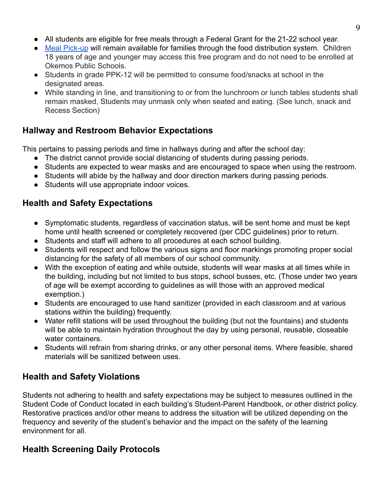- All students are eligible for free meals through a Federal Grant for the 21-22 school year.
- [Meal Pick-up](https://drive.google.com/file/d/1cYTTPe33c0B8t8iwwhZqwwIzT1OkPeOR/view?usp=sharing) will remain available for families through the food distribution system. Children 18 years of age and younger may access this free program and do not need to be enrolled at Okemos Public Schools.
- Students in grade PPK-12 will be permitted to consume food/snacks at school in the designated areas.
- While standing in line, and transitioning to or from the lunchroom or lunch tables students shall remain masked, Students may unmask only when seated and eating. (See lunch, snack and Recess Section)

## **Hallway and Restroom Behavior Expectations**

This pertains to passing periods and time in hallways during and after the school day:

- The district cannot provide social distancing of students during passing periods.
- Students are expected to wear masks and are encouraged to space when using the restroom.
- Students will abide by the hallway and door direction markers during passing periods.
- Students will use appropriate indoor voices.

## **Health and Safety Expectations**

- Symptomatic students, regardless of vaccination status, will be sent home and must be kept home until health screened or completely recovered (per CDC guidelines) prior to return.
- Students and staff will adhere to all procedures at each school building.
- Students will respect and follow the various signs and floor markings promoting proper social distancing for the safety of all members of our school community.
- With the exception of eating and while outside, students will wear masks at all times while in the building, including but not limited to bus stops, school busses, etc. (Those under two years of age will be exempt according to guidelines as will those with an approved medical exemption.)
- Students are encouraged to use hand sanitizer (provided in each classroom and at various stations within the building) frequently.
- Water refill stations will be used throughout the building (but not the fountains) and students will be able to maintain hydration throughout the day by using personal, reusable, closeable water containers.
- Students will refrain from sharing drinks, or any other personal items. Where feasible, shared materials will be sanitized between uses.

## **Health and Safety Violations**

Students not adhering to health and safety expectations may be subject to measures outlined in the Student Code of Conduct located in each building's Student-Parent Handbook, or other district policy. Restorative practices and/or other means to address the situation will be utilized depending on the frequency and severity of the student's behavior and the impact on the safety of the learning environment for all.

## **Health Screening Daily Protocols**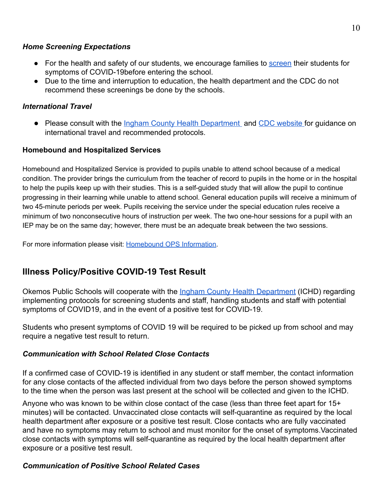#### *Home Screening Expectations*

- For the health and safety of our students, we encourage families to [screen](https://it.ingham.org/Department/Health%20Department/SymptomChecker.html) their students for symptoms of COVID-19before entering the school.
- Due to the time and interruption to education, the health department and the CDC do not recommend these screenings be done by the schools.

#### *International Travel*

● Please consult with the *[Ingham County Health Department](http://hd.ingham.org/DepartmentalDirectory/CommunicableDisease/Coronavirus(COVID19).aspx)* and [CDC website](https://www.cdc.gov/coronavirus/2019-ncov/travelers/index.html) for guidance on international travel and recommended protocols.

#### **Homebound and Hospitalized Services**

Homebound and Hospitalized Service is provided to pupils unable to attend school because of a medical condition. The provider brings the curriculum from the teacher of record to pupils in the home or in the hospital to help the pupils keep up with their studies. This is a self-guided study that will allow the pupil to continue progressing in their learning while unable to attend school. General education pupils will receive a minimum of two 45-minute periods per week. Pupils receiving the service under the special education rules receive a minimum of two nonconsecutive hours of instruction per week. The two one-hour sessions for a pupil with an IEP may be on the same day; however, there must be an adequate break between the two sessions.

For more information please visit: [Homebound](https://docs.google.com/document/d/1En1kvIkauwHNYM1EgLweAJveJjoYKZ2ZoBqibE2_zOE/edit?usp=sharing) OPS Information.

## **Illness Policy/Positive COVID-19 Test Result**

Okemos Public Schools will cooperate with the Ingham [County Health Department](https://hd.ingham.org/Portals/HD/Home/Documents/cd/coronavirus/ICHDSchoolCOVIDHandouts.pdf) (ICHD) regarding implementing protocols for screening students and staff, handling students and staff with potential symptoms of COVID19, and in the event of a positive test for COVID-19.

Students who present symptoms of COVID 19 will be required to be picked up from school and may require a negative test result to return.

#### *Communication with School Related Close Contacts*

If a confirmed case of COVID-19 is identified in any student or staff member, the contact information for any close contacts of the affected individual from two days before the person showed symptoms to the time when the person was last present at the school will be collected and given to the ICHD.

Anyone who was known to be within close contact of the case (less than three feet apart for 15+ minutes) will be contacted. Unvaccinated close contacts will self-quarantine as required by the local health department after exposure or a positive test result. Close contacts who are fully vaccinated and have no symptoms may return to school and must monitor for the onset of symptoms.Vaccinated close contacts with symptoms will self-quarantine as required by the local health department after exposure or a positive test result.

#### *Communication of Positive School Related Cases*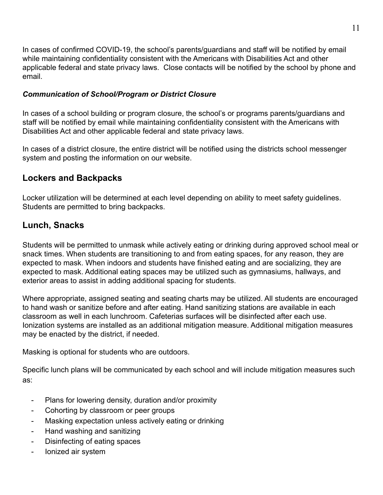In cases of confirmed COVID-19, the school's parents/guardians and staff will be notified by email while maintaining confidentiality consistent with the Americans with Disabilities Act and other applicable federal and state privacy laws. Close contacts will be notified by the school by phone and email.

#### *Communication of School/Program or District Closure*

In cases of a school building or program closure, the school's or programs parents/guardians and staff will be notified by email while maintaining confidentiality consistent with the Americans with Disabilities Act and other applicable federal and state privacy laws.

In cases of a district closure, the entire district will be notified using the districts school messenger system and posting the information on our website.

## **Lockers and Backpacks**

Locker utilization will be determined at each level depending on ability to meet safety guidelines. Students are permitted to bring backpacks.

## **Lunch, Snacks**

Students will be permitted to unmask while actively eating or drinking during approved school meal or snack times. When students are transitioning to and from eating spaces, for any reason, they are expected to mask. When indoors and students have finished eating and are socializing, they are expected to mask. Additional eating spaces may be utilized such as gymnasiums, hallways, and exterior areas to assist in adding additional spacing for students.

Where appropriate, assigned seating and seating charts may be utilized. All students are encouraged to hand wash or sanitize before and after eating. Hand sanitizing stations are available in each classroom as well in each lunchroom. Cafeterias surfaces will be disinfected after each use. Ionization systems are installed as an additional mitigation measure. Additional mitigation measures may be enacted by the district, if needed.

Masking is optional for students who are outdoors.

Specific lunch plans will be communicated by each school and will include mitigation measures such as:

- Plans for lowering density, duration and/or proximity
- Cohorting by classroom or peer groups
- Masking expectation unless actively eating or drinking
- Hand washing and sanitizing
- Disinfecting of eating spaces
- Ionized air system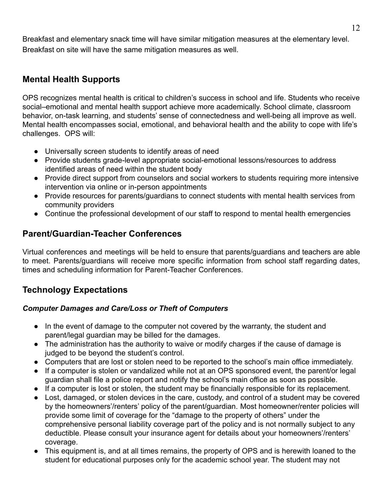Breakfast and elementary snack time will have similar mitigation measures at the elementary level. Breakfast on site will have the same mitigation measures as well.

## **Mental Health Supports**

OPS recognizes mental health is critical to children's success in school and life. Students who receive social–emotional and mental health support achieve more academically. School climate, classroom behavior, on-task learning, and students' sense of connectedness and well-being all improve as well. Mental health encompasses social, emotional, and behavioral health and the ability to cope with life's challenges. OPS will:

- Universally screen students to identify areas of need
- Provide students grade-level appropriate social-emotional lessons/resources to address identified areas of need within the student body
- Provide direct support from counselors and social workers to students requiring more intensive intervention via online or in-person appointments
- Provide resources for parents/guardians to connect students with mental health services from community providers
- Continue the professional development of our staff to respond to mental health emergencies

## **Parent/Guardian-Teacher Conferences**

Virtual conferences and meetings will be held to ensure that parents/guardians and teachers are able to meet. Parents/guardians will receive more specific information from school staff regarding dates, times and scheduling information for Parent-Teacher Conferences.

## **Technology Expectations**

#### *Computer Damages and Care/Loss or Theft of Computers*

- In the event of damage to the computer not covered by the warranty, the student and parent/legal guardian may be billed for the damages.
- The administration has the authority to waive or modify charges if the cause of damage is judged to be beyond the student's control.
- Computers that are lost or stolen need to be reported to the school's main office immediately.
- If a computer is stolen or vandalized while not at an OPS sponsored event, the parent/or legal guardian shall file a police report and notify the school's main office as soon as possible.
- If a computer is lost or stolen, the student may be financially responsible for its replacement.
- Lost, damaged, or stolen devices in the care, custody, and control of a student may be covered by the homeowners'/renters' policy of the parent/guardian. Most homeowner/renter policies will provide some limit of coverage for the "damage to the property of others" under the comprehensive personal liability coverage part of the policy and is not normally subject to any deductible. Please consult your insurance agent for details about your homeowners'/renters' coverage.
- This equipment is, and at all times remains, the property of OPS and is herewith loaned to the student for educational purposes only for the academic school year. The student may not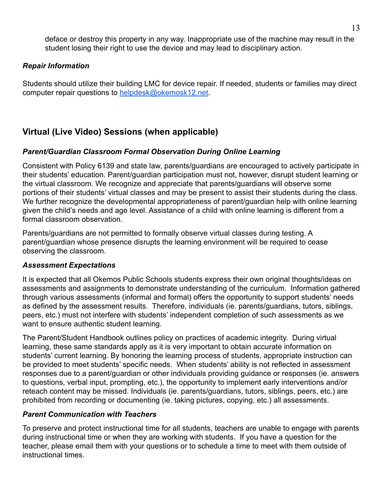deface or destroy this property in any way. Inappropriate use of the machine may result in the student losing their right to use the device and may lead to disciplinary action.

#### *Repair Information*

Students should utilize their building LMC for device repair. If needed, students or families may direct computer repair questions to [helpdesk@okemosk12.net](mailto:helpdesk@okemosk12.net).

## **Virtual (Live Video) Sessions (when applicable)**

#### *Parent/Guardian Classroom Formal Observation During Online Learning*

Consistent with Policy 6139 and state law, parents/guardians are encouraged to actively participate in their students' education. Parent/guardian participation must not, however, disrupt student learning or the virtual classroom. We recognize and appreciate that parents/guardians will observe some portions of their students' virtual classes and may be present to assist their students during the class. We further recognize the developmental appropriateness of parent/guardian help with online learning given the child's needs and age level. Assistance of a child with online learning is different from a formal classroom observation.

Parents/guardians are not permitted to formally observe virtual classes during testing. A parent/guardian whose presence disrupts the learning environment will be required to cease observing the classroom.

#### *Assessment Expectations*

It is expected that all Okemos Public Schools students express their own original thoughts/ideas on assessments and assignments to demonstrate understanding of the curriculum. Information gathered through various assessments (informal and formal) offers the opportunity to support students' needs as defined by the assessment results. Therefore, individuals (ie. parents/guardians, tutors, siblings, peers, etc.) must not interfere with students' independent completion of such assessments as we want to ensure authentic student learning.

The Parent/Student Handbook outlines policy on practices of academic integrity. During virtual learning, these same standards apply as it is very important to obtain accurate information on students' current learning. By honoring the learning process of students, appropriate instruction can be provided to meet students' specific needs. When students' ability is not reflected in assessment responses due to a parent/guardian or other individuals providing guidance or responses (ie. answers to questions, verbal input, prompting, etc.), the opportunity to implement early interventions and/or reteach content may be missed. Individuals (ie. parents/guardians, tutors, siblings, peers, etc.) are prohibited from recording or documenting (ie. taking pictures, copying, etc.) all assessments.

#### *Parent Communication with Teachers*

To preserve and protect instructional time for all students, teachers are unable to engage with parents during instructional time or when they are working with students. If you have a question for the teacher, please email them with your questions or to schedule a time to meet with them outside of instructional times.